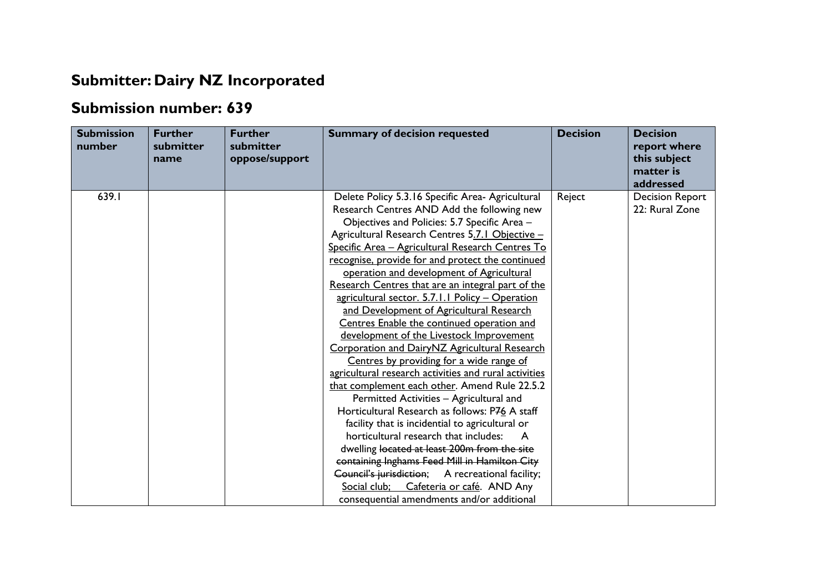## **Submitter: Dairy NZ Incorporated**

## **Submission number: 639**

| <b>Submission</b><br>number | <b>Further</b><br>submitter<br>name | <b>Further</b><br>submitter<br>oppose/support | <b>Summary of decision requested</b>                                                                                                                                                                                                                                                                                                                                                                                                                                                                                                                                                                                                                                                                                                                                                                                                                                                                                                                                                                                                                                                                                                                                                                                                               | <b>Decision</b> | <b>Decision</b><br>report where<br>this subject<br>matter is<br>addressed |
|-----------------------------|-------------------------------------|-----------------------------------------------|----------------------------------------------------------------------------------------------------------------------------------------------------------------------------------------------------------------------------------------------------------------------------------------------------------------------------------------------------------------------------------------------------------------------------------------------------------------------------------------------------------------------------------------------------------------------------------------------------------------------------------------------------------------------------------------------------------------------------------------------------------------------------------------------------------------------------------------------------------------------------------------------------------------------------------------------------------------------------------------------------------------------------------------------------------------------------------------------------------------------------------------------------------------------------------------------------------------------------------------------------|-----------------|---------------------------------------------------------------------------|
| 639.I                       |                                     |                                               | Delete Policy 5.3.16 Specific Area- Agricultural<br>Research Centres AND Add the following new<br>Objectives and Policies: 5.7 Specific Area -<br>Agricultural Research Centres 5.7.1 Objective -<br>Specific Area - Agricultural Research Centres To<br>recognise, provide for and protect the continued<br>operation and development of Agricultural<br>Research Centres that are an integral part of the<br>agricultural sector. 5.7.1.1 Policy - Operation<br>and Development of Agricultural Research<br>Centres Enable the continued operation and<br>development of the Livestock Improvement<br>Corporation and DairyNZ Agricultural Research<br>Centres by providing for a wide range of<br>agricultural research activities and rural activities<br>that complement each other. Amend Rule 22.5.2<br>Permitted Activities - Agricultural and<br>Horticultural Research as follows: P76 A staff<br>facility that is incidential to agricultural or<br>horticultural research that includes:<br>dwelling located at least 200m from the site<br>containing Inghams Feed Mill in Hamilton City<br>Council's jurisdiction; A recreational facility;<br>Social club; Cafeteria or café. AND Any<br>consequential amendments and/or additional | Reject          | <b>Decision Report</b><br>22: Rural Zone                                  |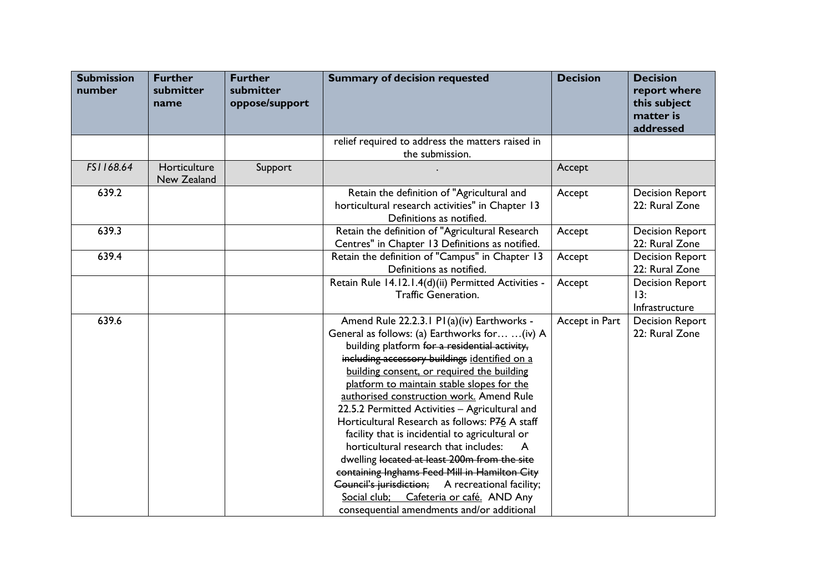| <b>Submission</b><br>number | <b>Further</b><br>submitter<br>name | <b>Further</b><br>submitter<br>oppose/support | <b>Summary of decision requested</b>                                                                                                                                                                                                                                                                                                                                                                                                                                                                                                                                                                                                                                                                                                                                                 | <b>Decision</b> | <b>Decision</b><br>report where<br>this subject<br>matter is<br>addressed |
|-----------------------------|-------------------------------------|-----------------------------------------------|--------------------------------------------------------------------------------------------------------------------------------------------------------------------------------------------------------------------------------------------------------------------------------------------------------------------------------------------------------------------------------------------------------------------------------------------------------------------------------------------------------------------------------------------------------------------------------------------------------------------------------------------------------------------------------------------------------------------------------------------------------------------------------------|-----------------|---------------------------------------------------------------------------|
|                             |                                     |                                               | relief required to address the matters raised in<br>the submission.                                                                                                                                                                                                                                                                                                                                                                                                                                                                                                                                                                                                                                                                                                                  |                 |                                                                           |
| FS1168.64                   | Horticulture<br>New Zealand         | Support                                       |                                                                                                                                                                                                                                                                                                                                                                                                                                                                                                                                                                                                                                                                                                                                                                                      | Accept          |                                                                           |
| 639.2                       |                                     |                                               | Retain the definition of "Agricultural and<br>horticultural research activities" in Chapter 13<br>Definitions as notified.                                                                                                                                                                                                                                                                                                                                                                                                                                                                                                                                                                                                                                                           | Accept          | <b>Decision Report</b><br>22: Rural Zone                                  |
| 639.3                       |                                     |                                               | Retain the definition of "Agricultural Research<br>Centres" in Chapter 13 Definitions as notified.                                                                                                                                                                                                                                                                                                                                                                                                                                                                                                                                                                                                                                                                                   | Accept          | <b>Decision Report</b><br>22: Rural Zone                                  |
| 639.4                       |                                     |                                               | Retain the definition of "Campus" in Chapter 13<br>Definitions as notified.                                                                                                                                                                                                                                                                                                                                                                                                                                                                                                                                                                                                                                                                                                          | Accept          | <b>Decision Report</b><br>22: Rural Zone                                  |
|                             |                                     |                                               | Retain Rule 14.12.1.4(d)(ii) Permitted Activities -<br><b>Traffic Generation.</b>                                                                                                                                                                                                                                                                                                                                                                                                                                                                                                                                                                                                                                                                                                    | Accept          | <b>Decision Report</b><br>13:<br>Infrastructure                           |
| 639.6                       |                                     |                                               | Amend Rule 22.2.3.1 P1(a)(iv) Earthworks -<br>General as follows: (a) Earthworks for  (iv) A<br>building platform for a residential activity,<br>including accessory buildings identified on a<br>building consent, or required the building<br>platform to maintain stable slopes for the<br>authorised construction work. Amend Rule<br>22.5.2 Permitted Activities - Agricultural and<br>Horticultural Research as follows: P76 A staff<br>facility that is incidential to agricultural or<br>horticultural research that includes:<br>dwelling located at least 200m from the site<br>containing Inghams Feed Mill in Hamilton City<br>Council's jurisdiction; A recreational facility;<br>Social club; Cafeteria or café. AND Any<br>consequential amendments and/or additional | Accept in Part  | <b>Decision Report</b><br>22: Rural Zone                                  |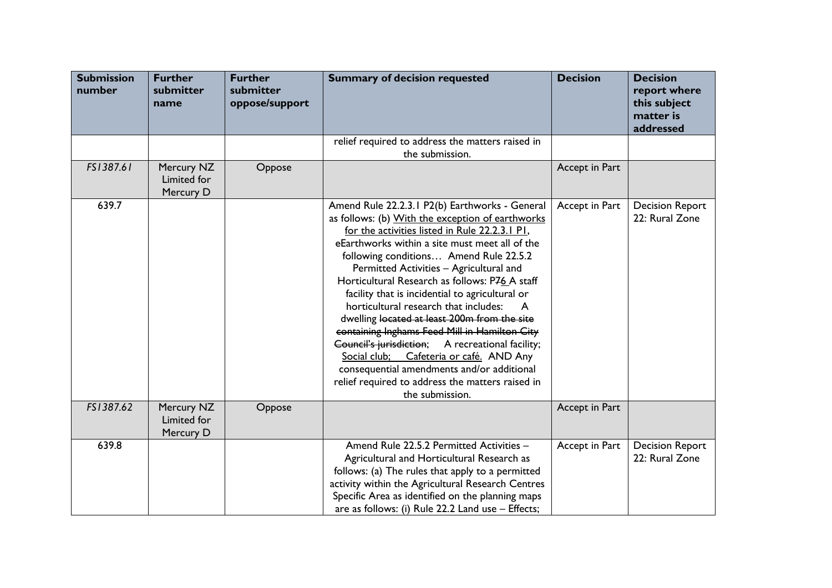| <b>Submission</b><br>number | <b>Further</b><br>submitter<br>name    | <b>Further</b><br>submitter<br>oppose/support | <b>Summary of decision requested</b>                                                                                                                                                                                                                                                                                                                                                                                                                                                                                                                                                                                                                                                                                                                                   | <b>Decision</b> | <b>Decision</b><br>report where<br>this subject<br>matter is<br>addressed |
|-----------------------------|----------------------------------------|-----------------------------------------------|------------------------------------------------------------------------------------------------------------------------------------------------------------------------------------------------------------------------------------------------------------------------------------------------------------------------------------------------------------------------------------------------------------------------------------------------------------------------------------------------------------------------------------------------------------------------------------------------------------------------------------------------------------------------------------------------------------------------------------------------------------------------|-----------------|---------------------------------------------------------------------------|
|                             |                                        |                                               | relief required to address the matters raised in<br>the submission.                                                                                                                                                                                                                                                                                                                                                                                                                                                                                                                                                                                                                                                                                                    |                 |                                                                           |
| FS1387.61                   | Mercury NZ<br>Limited for<br>Mercury D | Oppose                                        |                                                                                                                                                                                                                                                                                                                                                                                                                                                                                                                                                                                                                                                                                                                                                                        | Accept in Part  |                                                                           |
| 639.7                       |                                        |                                               | Amend Rule 22.2.3.1 P2(b) Earthworks - General<br>as follows: (b) With the exception of earthworks<br>for the activities listed in Rule 22.2.3.1 P1,<br>eEarthworks within a site must meet all of the<br>following conditions Amend Rule 22.5.2<br>Permitted Activities - Agricultural and<br>Horticultural Research as follows: P76 A staff<br>facility that is incidential to agricultural or<br>horticultural research that includes:<br>A<br>dwelling located at least 200m from the site<br>containing Inghams Feed Mill in Hamilton City<br>Council's jurisdiction; A recreational facility;<br>Cafeteria or café. AND Any<br>Social club;<br>consequential amendments and/or additional<br>relief required to address the matters raised in<br>the submission. | Accept in Part  | <b>Decision Report</b><br>22: Rural Zone                                  |
| FS1387.62                   | Mercury NZ<br>Limited for<br>Mercury D | Oppose                                        |                                                                                                                                                                                                                                                                                                                                                                                                                                                                                                                                                                                                                                                                                                                                                                        | Accept in Part  |                                                                           |
| 639.8                       |                                        |                                               | Amend Rule 22.5.2 Permitted Activities -<br>Agricultural and Horticultural Research as<br>follows: (a) The rules that apply to a permitted<br>activity within the Agricultural Research Centres<br>Specific Area as identified on the planning maps<br>are as follows: (i) Rule 22.2 Land use - Effects;                                                                                                                                                                                                                                                                                                                                                                                                                                                               | Accept in Part  | <b>Decision Report</b><br>22: Rural Zone                                  |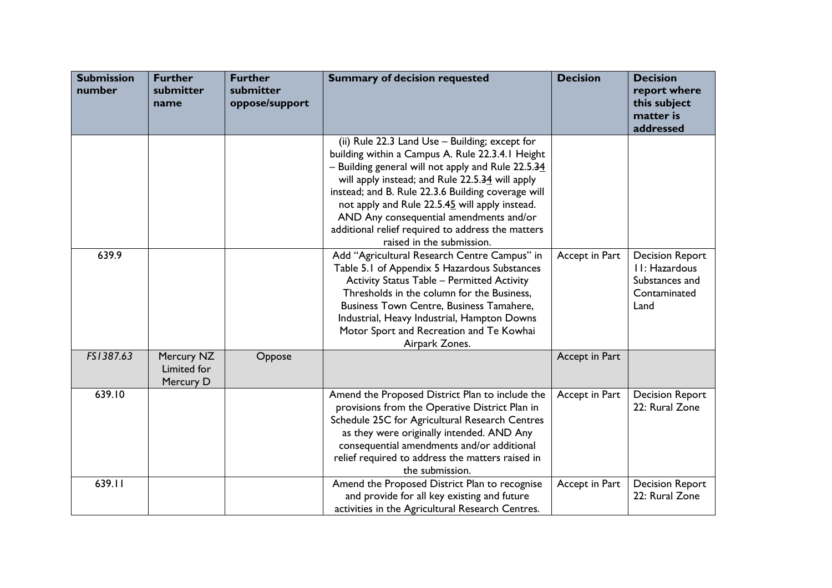| <b>Submission</b><br>number | <b>Further</b><br>submitter<br>name    | <b>Further</b><br>submitter<br>oppose/support | <b>Summary of decision requested</b>                                                                                                                                                                                                                                                                                                                                                                                                             | <b>Decision</b> | <b>Decision</b><br>report where<br>this subject<br>matter is<br>addressed         |
|-----------------------------|----------------------------------------|-----------------------------------------------|--------------------------------------------------------------------------------------------------------------------------------------------------------------------------------------------------------------------------------------------------------------------------------------------------------------------------------------------------------------------------------------------------------------------------------------------------|-----------------|-----------------------------------------------------------------------------------|
|                             |                                        |                                               | (ii) Rule 22.3 Land Use - Building; except for<br>building within a Campus A. Rule 22.3.4.1 Height<br>- Building general will not apply and Rule 22.5.34<br>will apply instead; and Rule 22.5.34 will apply<br>instead; and B. Rule 22.3.6 Building coverage will<br>not apply and Rule 22.5.45 will apply instead.<br>AND Any consequential amendments and/or<br>additional relief required to address the matters<br>raised in the submission. |                 |                                                                                   |
| 639.9                       |                                        |                                               | Add "Agricultural Research Centre Campus" in<br>Table 5.1 of Appendix 5 Hazardous Substances<br><b>Activity Status Table - Permitted Activity</b><br>Thresholds in the column for the Business,<br>Business Town Centre, Business Tamahere,<br>Industrial, Heavy Industrial, Hampton Downs<br>Motor Sport and Recreation and Te Kowhai<br>Airpark Zones.                                                                                         | Accept in Part  | <b>Decision Report</b><br>II: Hazardous<br>Substances and<br>Contaminated<br>Land |
| FS1387.63                   | Mercury NZ<br>Limited for<br>Mercury D | Oppose                                        |                                                                                                                                                                                                                                                                                                                                                                                                                                                  | Accept in Part  |                                                                                   |
| 639.10                      |                                        |                                               | Amend the Proposed District Plan to include the<br>provisions from the Operative District Plan in<br>Schedule 25C for Agricultural Research Centres<br>as they were originally intended. AND Any<br>consequential amendments and/or additional<br>relief required to address the matters raised in<br>the submission.                                                                                                                            | Accept in Part  | <b>Decision Report</b><br>22: Rural Zone                                          |
| 639.11                      |                                        |                                               | Amend the Proposed District Plan to recognise<br>and provide for all key existing and future<br>activities in the Agricultural Research Centres.                                                                                                                                                                                                                                                                                                 | Accept in Part  | <b>Decision Report</b><br>22: Rural Zone                                          |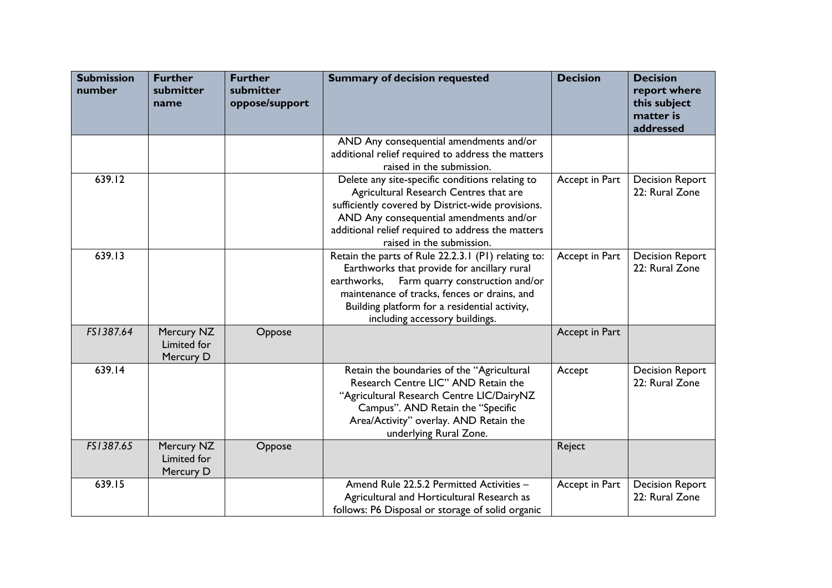| <b>Submission</b><br>number | <b>Further</b><br>submitter<br>name    | <b>Further</b><br>submitter<br>oppose/support | <b>Summary of decision requested</b>                                                                                                                                                                                                                                                    | <b>Decision</b> | <b>Decision</b><br>report where<br>this subject<br>matter is<br>addressed |
|-----------------------------|----------------------------------------|-----------------------------------------------|-----------------------------------------------------------------------------------------------------------------------------------------------------------------------------------------------------------------------------------------------------------------------------------------|-----------------|---------------------------------------------------------------------------|
|                             |                                        |                                               | AND Any consequential amendments and/or<br>additional relief required to address the matters<br>raised in the submission.                                                                                                                                                               |                 |                                                                           |
| 639.12                      |                                        |                                               | Delete any site-specific conditions relating to<br>Agricultural Research Centres that are<br>sufficiently covered by District-wide provisions.<br>AND Any consequential amendments and/or<br>additional relief required to address the matters<br>raised in the submission.             | Accept in Part  | <b>Decision Report</b><br>22: Rural Zone                                  |
| 639.13                      |                                        |                                               | Retain the parts of Rule 22.2.3.1 (P1) relating to:<br>Earthworks that provide for ancillary rural<br>earthworks,<br>Farm quarry construction and/or<br>maintenance of tracks, fences or drains, and<br>Building platform for a residential activity,<br>including accessory buildings. | Accept in Part  | <b>Decision Report</b><br>22: Rural Zone                                  |
| FS1387.64                   | Mercury NZ<br>Limited for<br>Mercury D | Oppose                                        |                                                                                                                                                                                                                                                                                         | Accept in Part  |                                                                           |
| 639.14                      |                                        |                                               | Retain the boundaries of the "Agricultural<br>Research Centre LIC" AND Retain the<br>"Agricultural Research Centre LIC/DairyNZ<br>Campus". AND Retain the "Specific<br>Area/Activity" overlay. AND Retain the<br>underlying Rural Zone.                                                 | Accept          | <b>Decision Report</b><br>22: Rural Zone                                  |
| FS1387.65                   | Mercury NZ<br>Limited for<br>Mercury D | Oppose                                        |                                                                                                                                                                                                                                                                                         | Reject          |                                                                           |
| 639.15                      |                                        |                                               | Amend Rule 22.5.2 Permitted Activities -<br>Agricultural and Horticultural Research as<br>follows: P6 Disposal or storage of solid organic                                                                                                                                              | Accept in Part  | <b>Decision Report</b><br>22: Rural Zone                                  |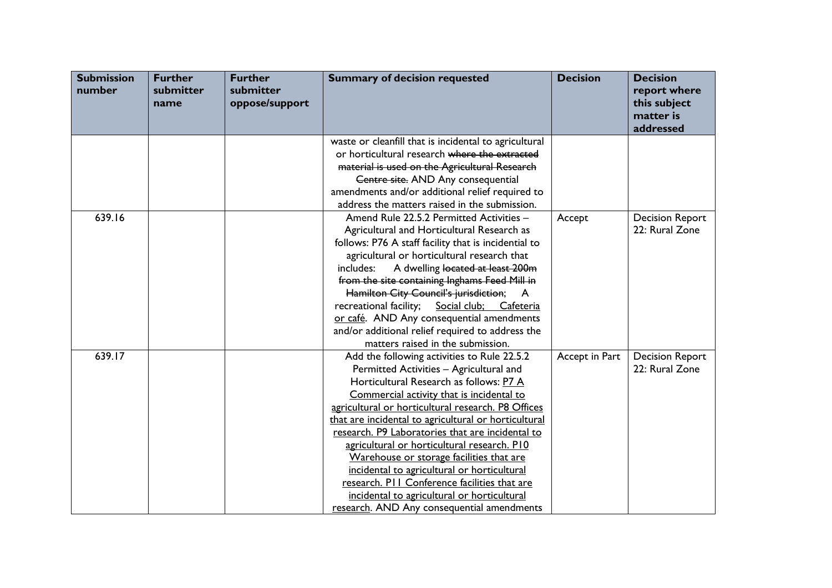| <b>Submission</b><br>number | <b>Further</b><br>submitter<br>name | <b>Further</b><br>submitter<br>oppose/support | <b>Summary of decision requested</b>                  | <b>Decision</b> | <b>Decision</b><br>report where<br>this subject<br>matter is<br>addressed |
|-----------------------------|-------------------------------------|-----------------------------------------------|-------------------------------------------------------|-----------------|---------------------------------------------------------------------------|
|                             |                                     |                                               | waste or cleanfill that is incidental to agricultural |                 |                                                                           |
|                             |                                     |                                               | or horticultural research where the extracted         |                 |                                                                           |
|                             |                                     |                                               | material is used on the Agricultural Research         |                 |                                                                           |
|                             |                                     |                                               | Centre site. AND Any consequential                    |                 |                                                                           |
|                             |                                     |                                               | amendments and/or additional relief required to       |                 |                                                                           |
|                             |                                     |                                               | address the matters raised in the submission.         |                 |                                                                           |
| 639.16                      |                                     |                                               | Amend Rule 22.5.2 Permitted Activities -              | Accept          | <b>Decision Report</b>                                                    |
|                             |                                     |                                               | Agricultural and Horticultural Research as            |                 | 22: Rural Zone                                                            |
|                             |                                     |                                               | follows: P76 A staff facility that is incidential to  |                 |                                                                           |
|                             |                                     |                                               | agricultural or horticultural research that           |                 |                                                                           |
|                             |                                     |                                               | A dwelling located at least 200m<br>includes:         |                 |                                                                           |
|                             |                                     |                                               | from the site containing Inghams Feed Mill in         |                 |                                                                           |
|                             |                                     |                                               | Hamilton City Council's jurisdiction;<br><b>A</b>     |                 |                                                                           |
|                             |                                     |                                               | recreational facility; Social club; Cafeteria         |                 |                                                                           |
|                             |                                     |                                               | or café. AND Any consequential amendments             |                 |                                                                           |
|                             |                                     |                                               | and/or additional relief required to address the      |                 |                                                                           |
|                             |                                     |                                               | matters raised in the submission.                     |                 |                                                                           |
| 639.17                      |                                     |                                               | Add the following activities to Rule 22.5.2           | Accept in Part  | <b>Decision Report</b>                                                    |
|                             |                                     |                                               | Permitted Activities - Agricultural and               |                 | 22: Rural Zone                                                            |
|                             |                                     |                                               | Horticultural Research as follows: P7 A               |                 |                                                                           |
|                             |                                     |                                               | Commercial activity that is incidental to             |                 |                                                                           |
|                             |                                     |                                               | agricultural or horticultural research. P8 Offices    |                 |                                                                           |
|                             |                                     |                                               | that are incidental to agricultural or horticultural  |                 |                                                                           |
|                             |                                     |                                               | research. P9 Laboratories that are incidental to      |                 |                                                                           |
|                             |                                     |                                               | agricultural or horticultural research. P10           |                 |                                                                           |
|                             |                                     |                                               | Warehouse or storage facilities that are              |                 |                                                                           |
|                             |                                     |                                               | incidental to agricultural or horticultural           |                 |                                                                           |
|                             |                                     |                                               | research. PII Conference facilities that are          |                 |                                                                           |
|                             |                                     |                                               | incidental to agricultural or horticultural           |                 |                                                                           |
|                             |                                     |                                               | research. AND Any consequential amendments            |                 |                                                                           |